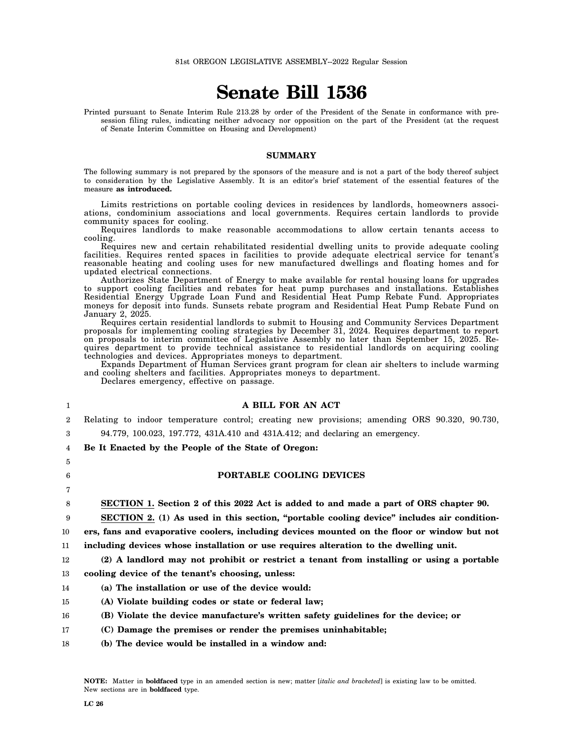# **Senate Bill 1536**

Printed pursuant to Senate Interim Rule 213.28 by order of the President of the Senate in conformance with presession filing rules, indicating neither advocacy nor opposition on the part of the President (at the request of Senate Interim Committee on Housing and Development)

#### **SUMMARY**

The following summary is not prepared by the sponsors of the measure and is not a part of the body thereof subject to consideration by the Legislative Assembly. It is an editor's brief statement of the essential features of the measure **as introduced.**

Limits restrictions on portable cooling devices in residences by landlords, homeowners associations, condominium associations and local governments. Requires certain landlords to provide community spaces for cooling.

Requires landlords to make reasonable accommodations to allow certain tenants access to cooling.

Requires new and certain rehabilitated residential dwelling units to provide adequate cooling facilities. Requires rented spaces in facilities to provide adequate electrical service for tenant's reasonable heating and cooling uses for new manufactured dwellings and floating homes and for updated electrical connections.

Authorizes State Department of Energy to make available for rental housing loans for upgrades to support cooling facilities and rebates for heat pump purchases and installations. Establishes Residential Energy Upgrade Loan Fund and Residential Heat Pump Rebate Fund. Appropriates moneys for deposit into funds. Sunsets rebate program and Residential Heat Pump Rebate Fund on January 2, 2025.

Requires certain residential landlords to submit to Housing and Community Services Department proposals for implementing cooling strategies by December 31, 2024. Requires department to report on proposals to interim committee of Legislative Assembly no later than September 15, 2025. Requires department to provide technical assistance to residential landlords on acquiring cooling technologies and devices. Appropriates moneys to department.

Expands Department of Human Services grant program for clean air shelters to include warming and cooling shelters and facilities. Appropriates moneys to department.

Declares emergency, effective on passage.

## **A BILL FOR AN ACT**

 $\overline{2}$ Relating to indoor temperature control; creating new provisions; amending ORS 90.320, 90.730,

94.779, 100.023, 197.772, 431A.410 and 431A.412; and declaring an emergency.

4 **Be It Enacted by the People of the State of Oregon:**

### **PORTABLE COOLING DEVICES**

8 **SECTION 1. Section 2 of this 2022 Act is added to and made a part of ORS chapter 90.**

9 **SECTION 2. (1) As used in this section, "portable cooling device" includes air condition-**

10 **ers, fans and evaporative coolers, including devices mounted on the floor or window but not**

11 **including devices whose installation or use requires alteration to the dwelling unit.**

12 **(2) A landlord may not prohibit or restrict a tenant from installing or using a portable**

13 **cooling device of the tenant's choosing, unless:**

- 14 **(a) The installation or use of the device would:**
- 15 **(A) Violate building codes or state or federal law;**
- 16 **(B) Violate the device manufacture's written safety guidelines for the device; or**
- 17 **(C) Damage the premises or render the premises uninhabitable;**
- 18 **(b) The device would be installed in a window and:**

1

3

5 6 7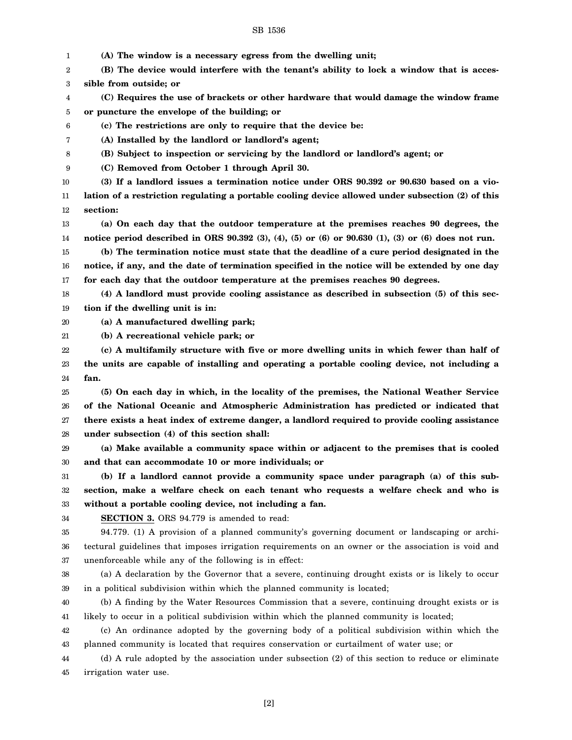1 2 3 4 5 6 7 8 9 10 11 12 13 14 15 16 17 18 19 20 21 22 23 24 25 26 27 28 29 30 31 32 33 34 35 36 37 38 39 40 41 **(A) The window is a necessary egress from the dwelling unit; (B) The device would interfere with the tenant's ability to lock a window that is accessible from outside; or (C) Requires the use of brackets or other hardware that would damage the window frame or puncture the envelope of the building; or (c) The restrictions are only to require that the device be: (A) Installed by the landlord or landlord's agent; (B) Subject to inspection or servicing by the landlord or landlord's agent; or (C) Removed from October 1 through April 30. (3) If a landlord issues a termination notice under ORS 90.392 or 90.630 based on a violation of a restriction regulating a portable cooling device allowed under subsection (2) of this section: (a) On each day that the outdoor temperature at the premises reaches 90 degrees, the notice period described in ORS 90.392 (3), (4), (5) or (6) or 90.630 (1), (3) or (6) does not run. (b) The termination notice must state that the deadline of a cure period designated in the notice, if any, and the date of termination specified in the notice will be extended by one day for each day that the outdoor temperature at the premises reaches 90 degrees. (4) A landlord must provide cooling assistance as described in subsection (5) of this section if the dwelling unit is in: (a) A manufactured dwelling park; (b) A recreational vehicle park; or (c) A multifamily structure with five or more dwelling units in which fewer than half of the units are capable of installing and operating a portable cooling device, not including a fan. (5) On each day in which, in the locality of the premises, the National Weather Service of the National Oceanic and Atmospheric Administration has predicted or indicated that there exists a heat index of extreme danger, a landlord required to provide cooling assistance under subsection (4) of this section shall: (a) Make available a community space within or adjacent to the premises that is cooled and that can accommodate 10 or more individuals; or (b) If a landlord cannot provide a community space under paragraph (a) of this subsection, make a welfare check on each tenant who requests a welfare check and who is without a portable cooling device, not including a fan. SECTION 3.** ORS 94.779 is amended to read: 94.779. (1) A provision of a planned community's governing document or landscaping or architectural guidelines that imposes irrigation requirements on an owner or the association is void and unenforceable while any of the following is in effect: (a) A declaration by the Governor that a severe, continuing drought exists or is likely to occur in a political subdivision within which the planned community is located; (b) A finding by the Water Resources Commission that a severe, continuing drought exists or is likely to occur in a political subdivision within which the planned community is located;

42 43 (c) An ordinance adopted by the governing body of a political subdivision within which the planned community is located that requires conservation or curtailment of water use; or

44 45 (d) A rule adopted by the association under subsection (2) of this section to reduce or eliminate irrigation water use.

[2]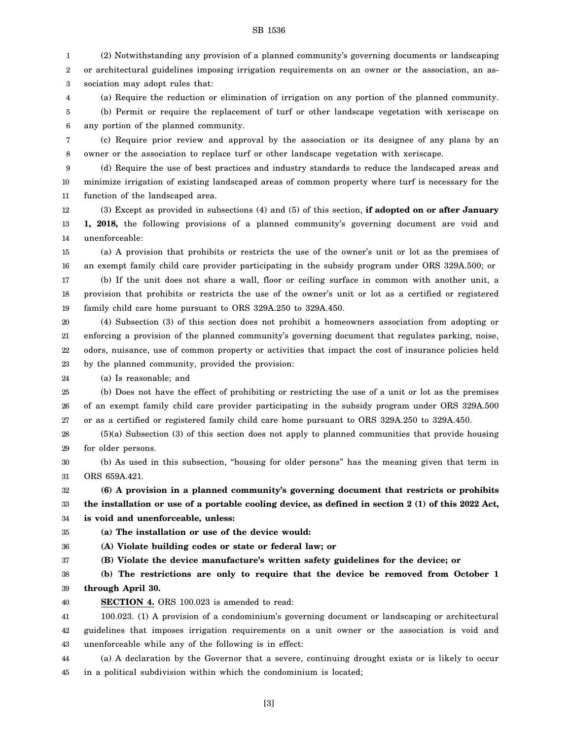1 2 3 (2) Notwithstanding any provision of a planned community's governing documents or landscaping or architectural guidelines imposing irrigation requirements on an owner or the association, an association may adopt rules that:

4 5 6 (a) Require the reduction or elimination of irrigation on any portion of the planned community. (b) Permit or require the replacement of turf or other landscape vegetation with xeriscape on any portion of the planned community.

7 8 (c) Require prior review and approval by the association or its designee of any plans by an owner or the association to replace turf or other landscape vegetation with xeriscape.

9 10 11 (d) Require the use of best practices and industry standards to reduce the landscaped areas and minimize irrigation of existing landscaped areas of common property where turf is necessary for the function of the landscaped area.

12 13 14 (3) Except as provided in subsections (4) and (5) of this section, **if adopted on or after January 1, 2018,** the following provisions of a planned community's governing document are void and unenforceable:

15 16 (a) A provision that prohibits or restricts the use of the owner's unit or lot as the premises of an exempt family child care provider participating in the subsidy program under ORS 329A.500; or

17 18 19 (b) If the unit does not share a wall, floor or ceiling surface in common with another unit, a provision that prohibits or restricts the use of the owner's unit or lot as a certified or registered family child care home pursuant to ORS 329A.250 to 329A.450.

20 21 22 23 (4) Subsection (3) of this section does not prohibit a homeowners association from adopting or enforcing a provision of the planned community's governing document that regulates parking, noise, odors, nuisance, use of common property or activities that impact the cost of insurance policies held by the planned community, provided the provision:

24 (a) Is reasonable; and

25 26 27 (b) Does not have the effect of prohibiting or restricting the use of a unit or lot as the premises of an exempt family child care provider participating in the subsidy program under ORS 329A.500 or as a certified or registered family child care home pursuant to ORS 329A.250 to 329A.450.

28 29 (5)(a) Subsection (3) of this section does not apply to planned communities that provide housing for older persons.

30 31 (b) As used in this subsection, "housing for older persons" has the meaning given that term in ORS 659A.421.

#### 32 33 **(6) A provision in a planned community's governing document that restricts or prohibits the installation or use of a portable cooling device, as defined in section 2 (1) of this 2022 Act,**

34 **is void and unenforceable, unless:**

35 **(a) The installation or use of the device would:**

36 **(A) Violate building codes or state or federal law; or**

37 **(B) Violate the device manufacture's written safety guidelines for the device; or**

38 39 **(b) The restrictions are only to require that the device be removed from October 1 through April 30.**

40 **SECTION 4.** ORS 100.023 is amended to read:

41 42 43 100.023. (1) A provision of a condominium's governing document or landscaping or architectural guidelines that imposes irrigation requirements on a unit owner or the association is void and unenforceable while any of the following is in effect:

44 45 (a) A declaration by the Governor that a severe, continuing drought exists or is likely to occur in a political subdivision within which the condominium is located;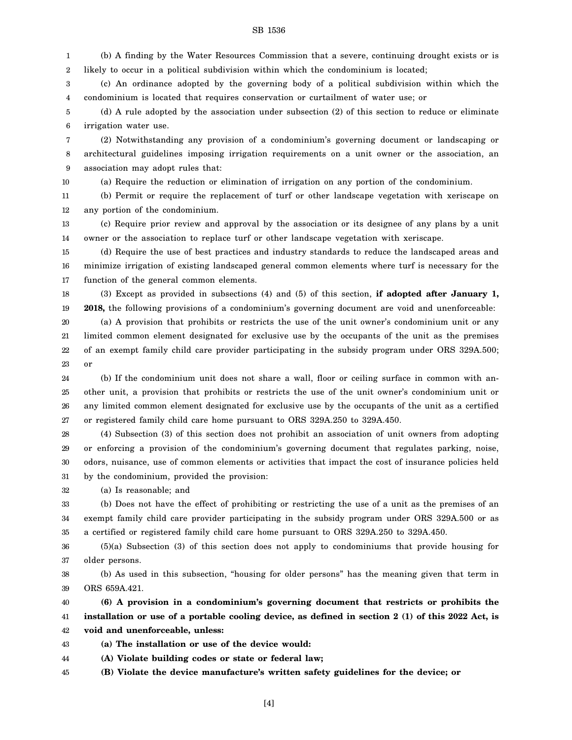1 2 (b) A finding by the Water Resources Commission that a severe, continuing drought exists or is likely to occur in a political subdivision within which the condominium is located;

3 4 (c) An ordinance adopted by the governing body of a political subdivision within which the condominium is located that requires conservation or curtailment of water use; or

5 6 (d) A rule adopted by the association under subsection (2) of this section to reduce or eliminate irrigation water use.

7 8 9 (2) Notwithstanding any provision of a condominium's governing document or landscaping or architectural guidelines imposing irrigation requirements on a unit owner or the association, an association may adopt rules that:

10 (a) Require the reduction or elimination of irrigation on any portion of the condominium.

11 12 (b) Permit or require the replacement of turf or other landscape vegetation with xeriscape on any portion of the condominium.

13 14 (c) Require prior review and approval by the association or its designee of any plans by a unit owner or the association to replace turf or other landscape vegetation with xeriscape.

15 16 17 (d) Require the use of best practices and industry standards to reduce the landscaped areas and minimize irrigation of existing landscaped general common elements where turf is necessary for the function of the general common elements.

18 19 (3) Except as provided in subsections (4) and (5) of this section, **if adopted after January 1, 2018,** the following provisions of a condominium's governing document are void and unenforceable:

20 21 22 23 (a) A provision that prohibits or restricts the use of the unit owner's condominium unit or any limited common element designated for exclusive use by the occupants of the unit as the premises of an exempt family child care provider participating in the subsidy program under ORS 329A.500; or

24 25 26 27 (b) If the condominium unit does not share a wall, floor or ceiling surface in common with another unit, a provision that prohibits or restricts the use of the unit owner's condominium unit or any limited common element designated for exclusive use by the occupants of the unit as a certified or registered family child care home pursuant to ORS 329A.250 to 329A.450.

28 29 30 31 (4) Subsection (3) of this section does not prohibit an association of unit owners from adopting or enforcing a provision of the condominium's governing document that regulates parking, noise, odors, nuisance, use of common elements or activities that impact the cost of insurance policies held by the condominium, provided the provision:

32 (a) Is reasonable; and

33 34 35 (b) Does not have the effect of prohibiting or restricting the use of a unit as the premises of an exempt family child care provider participating in the subsidy program under ORS 329A.500 or as a certified or registered family child care home pursuant to ORS 329A.250 to 329A.450.

36 37 (5)(a) Subsection (3) of this section does not apply to condominiums that provide housing for older persons.

38 39 (b) As used in this subsection, "housing for older persons" has the meaning given that term in ORS 659A.421.

40 41 42 **(6) A provision in a condominium's governing document that restricts or prohibits the installation or use of a portable cooling device, as defined in section 2 (1) of this 2022 Act, is void and unenforceable, unless:**

43 **(a) The installation or use of the device would:**

44 **(A) Violate building codes or state or federal law;**

45 **(B) Violate the device manufacture's written safety guidelines for the device; or**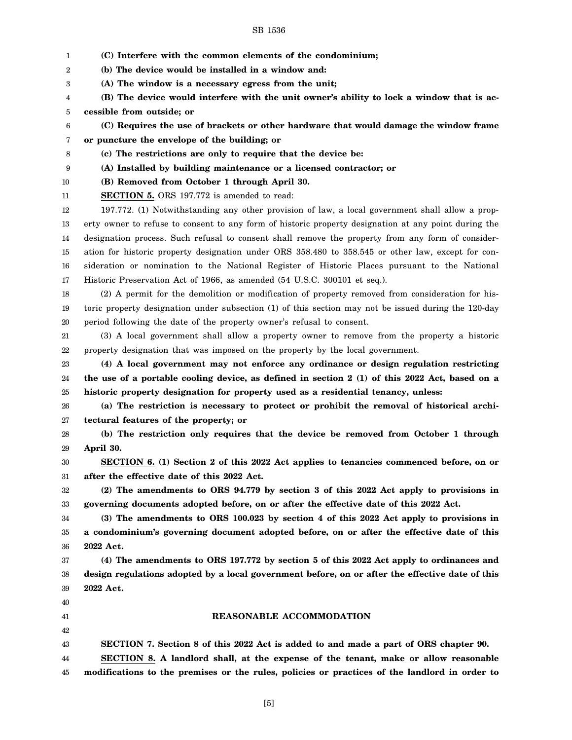| 1  | (C) Interfere with the common elements of the condominium;                                           |
|----|------------------------------------------------------------------------------------------------------|
| 2  | (b) The device would be installed in a window and:                                                   |
| 3  | (A) The window is a necessary egress from the unit;                                                  |
| 4  | (B) The device would interfere with the unit owner's ability to lock a window that is ac-            |
| 5  | cessible from outside; or                                                                            |
| 6  | (C) Requires the use of brackets or other hardware that would damage the window frame                |
| 7  | or puncture the envelope of the building; or                                                         |
| 8  | (c) The restrictions are only to require that the device be:                                         |
| 9  | (A) Installed by building maintenance or a licensed contractor; or                                   |
| 10 | (B) Removed from October 1 through April 30.                                                         |
| 11 | <b>SECTION 5.</b> ORS 197.772 is amended to read:                                                    |
| 12 | 197.772. (1) Notwithstanding any other provision of law, a local government shall allow a prop-      |
| 13 | erty owner to refuse to consent to any form of historic property designation at any point during the |
| 14 | designation process. Such refusal to consent shall remove the property from any form of consider-    |
| 15 | ation for historic property designation under ORS 358.480 to 358.545 or other law, except for con-   |
| 16 | sideration or nomination to the National Register of Historic Places pursuant to the National        |
| 17 | Historic Preservation Act of 1966, as amended (54 U.S.C. 300101 et seq.).                            |
| 18 | (2) A permit for the demolition or modification of property removed from consideration for his-      |
| 19 | toric property designation under subsection (1) of this section may not be issued during the 120-day |
| 20 | period following the date of the property owner's refusal to consent.                                |
| 21 | (3) A local government shall allow a property owner to remove from the property a historic           |
| 22 | property designation that was imposed on the property by the local government.                       |
| 23 | (4) A local government may not enforce any ordinance or design regulation restricting                |
| 24 | the use of a portable cooling device, as defined in section 2 (1) of this 2022 Act, based on a       |
| 25 | historic property designation for property used as a residential tenancy, unless:                    |
| 26 | (a) The restriction is necessary to protect or prohibit the removal of historical archi-             |
| 27 | tectural features of the property; or                                                                |
| 28 | (b) The restriction only requires that the device be removed from October 1 through                  |
| 29 | April 30.                                                                                            |
| 30 | SECTION 6. (1) Section 2 of this 2022 Act applies to tenancies commenced before, on or               |
| 31 | after the effective date of this 2022 Act.                                                           |
| 32 | (2) The amendments to ORS 94.779 by section 3 of this 2022 Act apply to provisions in                |
| 33 | governing documents adopted before, on or after the effective date of this 2022 Act.                 |
| 34 | (3) The amendments to ORS 100.023 by section 4 of this 2022 Act apply to provisions in               |
| 35 | a condominium's governing document adopted before, on or after the effective date of this            |
| 36 | 2022 Act.                                                                                            |
| 37 | (4) The amendments to ORS 197.772 by section 5 of this 2022 Act apply to ordinances and              |
| 38 | design regulations adopted by a local government before, on or after the effective date of this      |
| 39 | 2022 Act.                                                                                            |
| 40 |                                                                                                      |
| 41 | REASONABLE ACCOMMODATION                                                                             |
| 42 |                                                                                                      |
| 43 | SECTION 7. Section 8 of this 2022 Act is added to and made a part of ORS chapter 90.                 |
| 44 | SECTION 8. A landlord shall, at the expense of the tenant, make or allow reasonable                  |
| 45 | modifications to the premises or the rules, policies or practices of the landlord in order to        |
|    |                                                                                                      |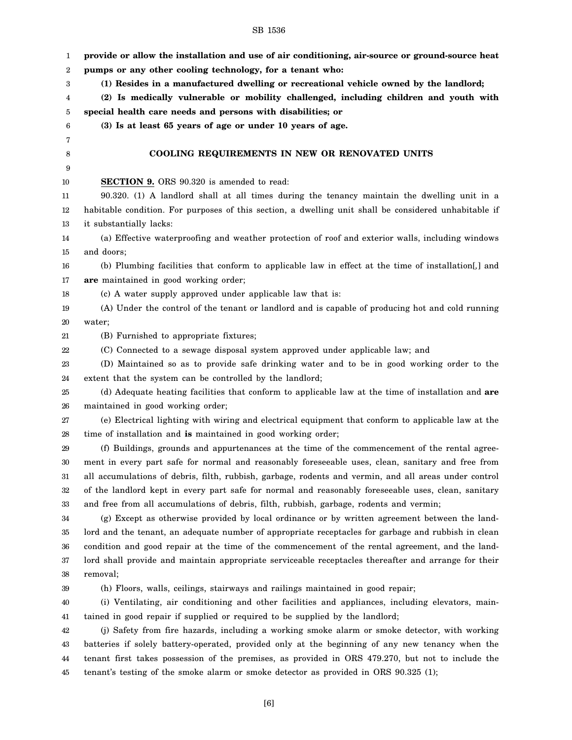| 1                | provide or allow the installation and use of air conditioning, air-source or ground-source heat       |
|------------------|-------------------------------------------------------------------------------------------------------|
| $\boldsymbol{2}$ | pumps or any other cooling technology, for a tenant who:                                              |
| 3                | (1) Resides in a manufactured dwelling or recreational vehicle owned by the landlord;                 |
| 4                | (2) Is medically vulnerable or mobility challenged, including children and youth with                 |
| 5                | special health care needs and persons with disabilities; or                                           |
| 6                | (3) Is at least 65 years of age or under 10 years of age.                                             |
| 7                |                                                                                                       |
| 8                | COOLING REQUIREMENTS IN NEW OR RENOVATED UNITS                                                        |
| 9                |                                                                                                       |
| 10               | <b>SECTION 9.</b> ORS 90.320 is amended to read:                                                      |
| 11               | 90.320. (1) A landlord shall at all times during the tenancy maintain the dwelling unit in a          |
| 12               | habitable condition. For purposes of this section, a dwelling unit shall be considered unhabitable if |
| 13               | it substantially lacks:                                                                               |
| 14               | (a) Effective waterproofing and weather protection of roof and exterior walls, including windows      |
| 15               | and doors;                                                                                            |
| 16               | (b) Plumbing facilities that conform to applicable law in effect at the time of installation[,] and   |
| 17               | are maintained in good working order;                                                                 |
| 18               | (c) A water supply approved under applicable law that is:                                             |
| 19               | (A) Under the control of the tenant or landlord and is capable of producing hot and cold running      |
| 20               | water;                                                                                                |
| 21               | (B) Furnished to appropriate fixtures;                                                                |
| 22               | (C) Connected to a sewage disposal system approved under applicable law; and                          |
| 23               | (D) Maintained so as to provide safe drinking water and to be in good working order to the            |
| 24               | extent that the system can be controlled by the landlord;                                             |
| 25               | (d) Adequate heating facilities that conform to applicable law at the time of installation and are    |
| 26               | maintained in good working order;                                                                     |
| 27               | (e) Electrical lighting with wiring and electrical equipment that conform to applicable law at the    |
| 28               | time of installation and is maintained in good working order;                                         |
| 29               | (f) Buildings, grounds and appurtenances at the time of the commencement of the rental agree-         |
| 30               | ment in every part safe for normal and reasonably foreseeable uses, clean, sanitary and free from     |
| 31               | all accumulations of debris, filth, rubbish, garbage, rodents and vermin, and all areas under control |
| 32               | of the landlord kept in every part safe for normal and reasonably foreseeable uses, clean, sanitary   |
| 33               | and free from all accumulations of debris, filth, rubbish, garbage, rodents and vermin;               |
| 34               | (g) Except as otherwise provided by local ordinance or by written agreement between the land-         |
| 35               | lord and the tenant, an adequate number of appropriate receptacles for garbage and rubbish in clean   |
| 36               | condition and good repair at the time of the commencement of the rental agreement, and the land-      |
| 37               | lord shall provide and maintain appropriate serviceable receptacles thereafter and arrange for their  |
| 38               | removal;                                                                                              |
| 39               | (h) Floors, walls, ceilings, stairways and railings maintained in good repair;                        |
| 40               | (i) Ventilating, air conditioning and other facilities and appliances, including elevators, main-     |
| 41               | tained in good repair if supplied or required to be supplied by the landlord;                         |
| 42               | (j) Safety from fire hazards, including a working smoke alarm or smoke detector, with working         |
| 43               | batteries if solely battery-operated, provided only at the beginning of any new tenancy when the      |
| 44               | tenant first takes possession of the premises, as provided in ORS 479.270, but not to include the     |
| 45               | tenant's testing of the smoke alarm or smoke detector as provided in ORS 90.325 (1);                  |
|                  |                                                                                                       |
|                  |                                                                                                       |

[6]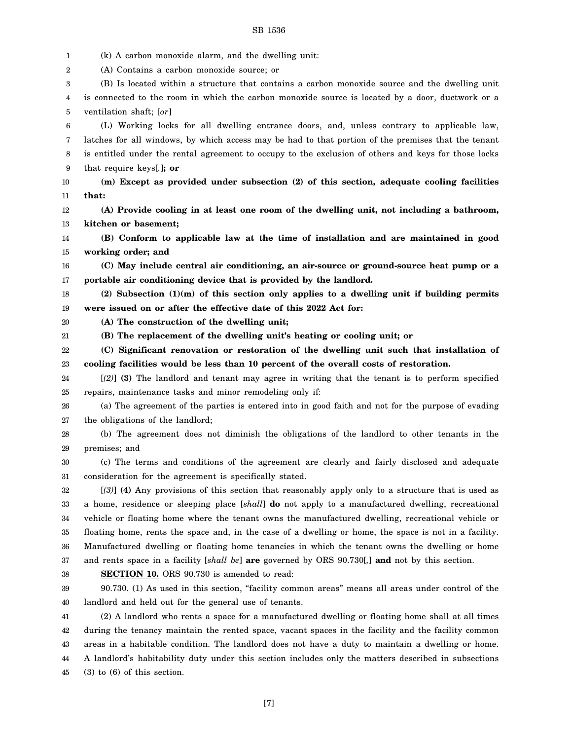1 2 3 4 5 6 7 8 9 10 11 12 13 14 15 16 17 18 19 20 21 22 23 24 25 26 27 28 29 30 31 32 33 34 35 36 37 38 39 40 41 42 43 44 45 (k) A carbon monoxide alarm, and the dwelling unit: (A) Contains a carbon monoxide source; or (B) Is located within a structure that contains a carbon monoxide source and the dwelling unit is connected to the room in which the carbon monoxide source is located by a door, ductwork or a ventilation shaft; [*or*] (L) Working locks for all dwelling entrance doors, and, unless contrary to applicable law, latches for all windows, by which access may be had to that portion of the premises that the tenant is entitled under the rental agreement to occupy to the exclusion of others and keys for those locks that require keys[*.*]**; or (m) Except as provided under subsection (2) of this section, adequate cooling facilities that: (A) Provide cooling in at least one room of the dwelling unit, not including a bathroom, kitchen or basement; (B) Conform to applicable law at the time of installation and are maintained in good working order; and (C) May include central air conditioning, an air-source or ground-source heat pump or a portable air conditioning device that is provided by the landlord. (2) Subsection (1)(m) of this section only applies to a dwelling unit if building permits were issued on or after the effective date of this 2022 Act for: (A) The construction of the dwelling unit; (B) The replacement of the dwelling unit's heating or cooling unit; or (C) Significant renovation or restoration of the dwelling unit such that installation of cooling facilities would be less than 10 percent of the overall costs of restoration.** [*(2)*] **(3)** The landlord and tenant may agree in writing that the tenant is to perform specified repairs, maintenance tasks and minor remodeling only if: (a) The agreement of the parties is entered into in good faith and not for the purpose of evading the obligations of the landlord; (b) The agreement does not diminish the obligations of the landlord to other tenants in the premises; and (c) The terms and conditions of the agreement are clearly and fairly disclosed and adequate consideration for the agreement is specifically stated. [*(3)*] **(4)** Any provisions of this section that reasonably apply only to a structure that is used as a home, residence or sleeping place [*shall*] **do** not apply to a manufactured dwelling, recreational vehicle or floating home where the tenant owns the manufactured dwelling, recreational vehicle or floating home, rents the space and, in the case of a dwelling or home, the space is not in a facility. Manufactured dwelling or floating home tenancies in which the tenant owns the dwelling or home and rents space in a facility [*shall be*] **are** governed by ORS 90.730[*,*] **and** not by this section. **SECTION 10.** ORS 90.730 is amended to read: 90.730. (1) As used in this section, "facility common areas" means all areas under control of the landlord and held out for the general use of tenants. (2) A landlord who rents a space for a manufactured dwelling or floating home shall at all times during the tenancy maintain the rented space, vacant spaces in the facility and the facility common areas in a habitable condition. The landlord does not have a duty to maintain a dwelling or home. A landlord's habitability duty under this section includes only the matters described in subsections (3) to (6) of this section.

[7]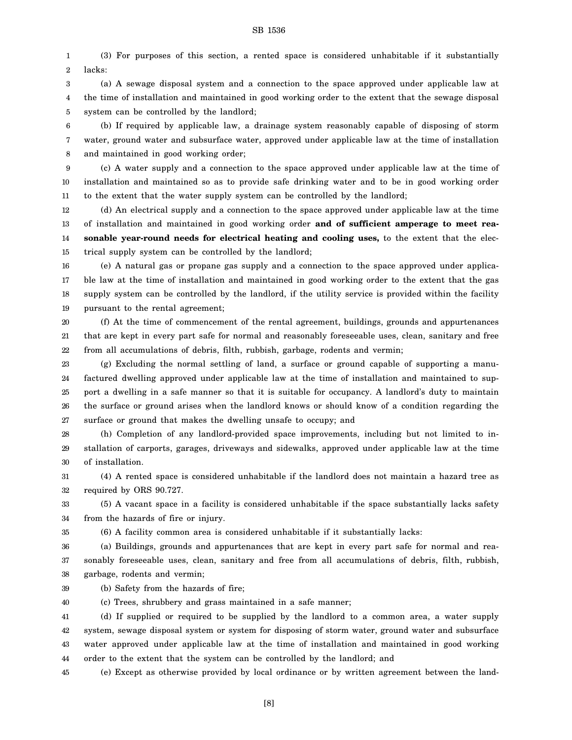1 2 (3) For purposes of this section, a rented space is considered unhabitable if it substantially lacks:

3 4 5 (a) A sewage disposal system and a connection to the space approved under applicable law at the time of installation and maintained in good working order to the extent that the sewage disposal system can be controlled by the landlord;

6 7 8 (b) If required by applicable law, a drainage system reasonably capable of disposing of storm water, ground water and subsurface water, approved under applicable law at the time of installation and maintained in good working order;

9 10 11 (c) A water supply and a connection to the space approved under applicable law at the time of installation and maintained so as to provide safe drinking water and to be in good working order to the extent that the water supply system can be controlled by the landlord;

12 13 14 15 (d) An electrical supply and a connection to the space approved under applicable law at the time of installation and maintained in good working order **and of sufficient amperage to meet reasonable year-round needs for electrical heating and cooling uses,** to the extent that the electrical supply system can be controlled by the landlord;

16 17 18 19 (e) A natural gas or propane gas supply and a connection to the space approved under applicable law at the time of installation and maintained in good working order to the extent that the gas supply system can be controlled by the landlord, if the utility service is provided within the facility pursuant to the rental agreement;

20 21 22 (f) At the time of commencement of the rental agreement, buildings, grounds and appurtenances that are kept in every part safe for normal and reasonably foreseeable uses, clean, sanitary and free from all accumulations of debris, filth, rubbish, garbage, rodents and vermin;

23 24 25 26 27 (g) Excluding the normal settling of land, a surface or ground capable of supporting a manufactured dwelling approved under applicable law at the time of installation and maintained to support a dwelling in a safe manner so that it is suitable for occupancy. A landlord's duty to maintain the surface or ground arises when the landlord knows or should know of a condition regarding the surface or ground that makes the dwelling unsafe to occupy; and

28 29 30 (h) Completion of any landlord-provided space improvements, including but not limited to installation of carports, garages, driveways and sidewalks, approved under applicable law at the time of installation.

31 32 (4) A rented space is considered unhabitable if the landlord does not maintain a hazard tree as required by ORS 90.727.

33 34 (5) A vacant space in a facility is considered unhabitable if the space substantially lacks safety from the hazards of fire or injury.

(6) A facility common area is considered unhabitable if it substantially lacks:

36 37 38 (a) Buildings, grounds and appurtenances that are kept in every part safe for normal and reasonably foreseeable uses, clean, sanitary and free from all accumulations of debris, filth, rubbish, garbage, rodents and vermin;

39 (b) Safety from the hazards of fire;

35

40 (c) Trees, shrubbery and grass maintained in a safe manner;

41 42 43 44 (d) If supplied or required to be supplied by the landlord to a common area, a water supply system, sewage disposal system or system for disposing of storm water, ground water and subsurface water approved under applicable law at the time of installation and maintained in good working order to the extent that the system can be controlled by the landlord; and

45 (e) Except as otherwise provided by local ordinance or by written agreement between the land-

[8]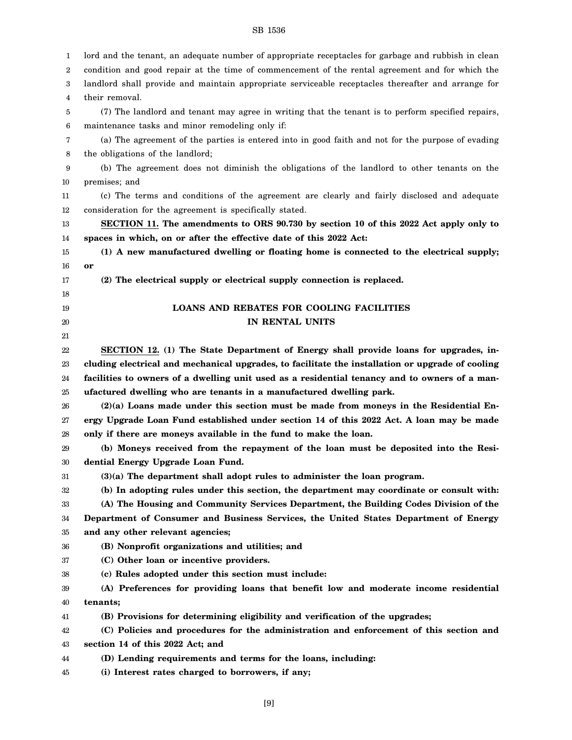| 1  | lord and the tenant, an adequate number of appropriate receptacles for garbage and rubbish in clean |
|----|-----------------------------------------------------------------------------------------------------|
| 2  | condition and good repair at the time of commencement of the rental agreement and for which the     |
| 3  | landlord shall provide and maintain appropriate serviceable receptacles thereafter and arrange for  |
| 4  | their removal.                                                                                      |
| 5  | (7) The landlord and tenant may agree in writing that the tenant is to perform specified repairs,   |
| 6  | maintenance tasks and minor remodeling only if:                                                     |
| 7  | (a) The agreement of the parties is entered into in good faith and not for the purpose of evading   |
| 8  | the obligations of the landlord;                                                                    |
| 9  | (b) The agreement does not diminish the obligations of the landlord to other tenants on the         |
| 10 | premises; and                                                                                       |
| 11 | (c) The terms and conditions of the agreement are clearly and fairly disclosed and adequate         |
| 12 | consideration for the agreement is specifically stated.                                             |
| 13 | SECTION 11. The amendments to ORS 90.730 by section 10 of this 2022 Act apply only to               |
| 14 | spaces in which, on or after the effective date of this 2022 Act:                                   |
| 15 | (1) A new manufactured dwelling or floating home is connected to the electrical supply;             |
| 16 | or                                                                                                  |
| 17 | (2) The electrical supply or electrical supply connection is replaced.                              |
| 18 |                                                                                                     |
| 19 | <b>LOANS AND REBATES FOR COOLING FACILITIES</b>                                                     |
| 20 | IN RENTAL UNITS                                                                                     |
| 21 |                                                                                                     |
| 22 | SECTION 12. (1) The State Department of Energy shall provide loans for upgrades, in-                |
| 23 | cluding electrical and mechanical upgrades, to facilitate the installation or upgrade of cooling    |
| 24 | facilities to owners of a dwelling unit used as a residential tenancy and to owners of a man-       |
| 25 | ufactured dwelling who are tenants in a manufactured dwelling park.                                 |
| 26 | $(2)(a)$ Loans made under this section must be made from moneys in the Residential En-              |
| 27 | ergy Upgrade Loan Fund established under section 14 of this 2022 Act. A loan may be made            |
| 28 | only if there are moneys available in the fund to make the loan.                                    |
| 29 | (b) Moneys received from the repayment of the loan must be deposited into the Resi-                 |
| 30 | dential Energy Upgrade Loan Fund.                                                                   |
| 31 | $(3)(a)$ The department shall adopt rules to administer the loan program.                           |
| 32 | (b) In adopting rules under this section, the department may coordinate or consult with:            |
| 33 | (A) The Housing and Community Services Department, the Building Codes Division of the               |
| 34 | Department of Consumer and Business Services, the United States Department of Energy                |
| 35 | and any other relevant agencies;                                                                    |
| 36 | (B) Nonprofit organizations and utilities; and                                                      |
| 37 | (C) Other loan or incentive providers.                                                              |
| 38 | (c) Rules adopted under this section must include:                                                  |
| 39 | (A) Preferences for providing loans that benefit low and moderate income residential                |
| 40 | tenants;                                                                                            |
| 41 | (B) Provisions for determining eligibility and verification of the upgrades;                        |
| 42 | (C) Policies and procedures for the administration and enforcement of this section and              |
| 43 | section 14 of this 2022 Act; and                                                                    |
| 44 | (D) Lending requirements and terms for the loans, including:                                        |
| 45 | (i) Interest rates charged to borrowers, if any;                                                    |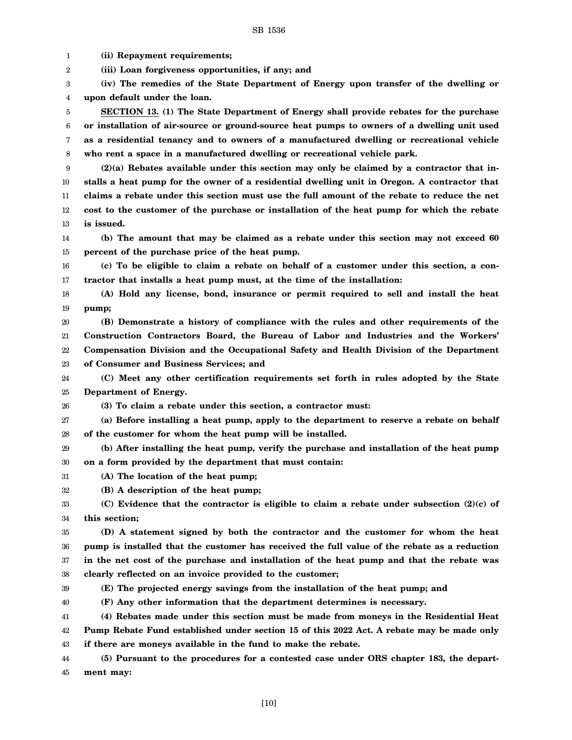1 2 3 4 5 6 7 8 9 10 11 12 13 14 15 16 17 18 19 20 21 22 23 24 25 26 27 28 29 30 31 32 33 34 35 36 37 38 39 40 41 42 43 **(ii) Repayment requirements; (iii) Loan forgiveness opportunities, if any; and (iv) The remedies of the State Department of Energy upon transfer of the dwelling or upon default under the loan. SECTION 13. (1) The State Department of Energy shall provide rebates for the purchase or installation of air-source or ground-source heat pumps to owners of a dwelling unit used as a residential tenancy and to owners of a manufactured dwelling or recreational vehicle who rent a space in a manufactured dwelling or recreational vehicle park. (2)(a) Rebates available under this section may only be claimed by a contractor that installs a heat pump for the owner of a residential dwelling unit in Oregon. A contractor that claims a rebate under this section must use the full amount of the rebate to reduce the net cost to the customer of the purchase or installation of the heat pump for which the rebate is issued. (b) The amount that may be claimed as a rebate under this section may not exceed 60 percent of the purchase price of the heat pump. (c) To be eligible to claim a rebate on behalf of a customer under this section, a contractor that installs a heat pump must, at the time of the installation: (A) Hold any license, bond, insurance or permit required to sell and install the heat pump; (B) Demonstrate a history of compliance with the rules and other requirements of the Construction Contractors Board, the Bureau of Labor and Industries and the Workers' Compensation Division and the Occupational Safety and Health Division of the Department of Consumer and Business Services; and (C) Meet any other certification requirements set forth in rules adopted by the State Department of Energy. (3) To claim a rebate under this section, a contractor must: (a) Before installing a heat pump, apply to the department to reserve a rebate on behalf of the customer for whom the heat pump will be installed. (b) After installing the heat pump, verify the purchase and installation of the heat pump on a form provided by the department that must contain: (A) The location of the heat pump; (B) A description of the heat pump; (C) Evidence that the contractor is eligible to claim a rebate under subsection (2)(c) of this section; (D) A statement signed by both the contractor and the customer for whom the heat pump is installed that the customer has received the full value of the rebate as a reduction in the net cost of the purchase and installation of the heat pump and that the rebate was clearly reflected on an invoice provided to the customer; (E) The projected energy savings from the installation of the heat pump; and (F) Any other information that the department determines is necessary. (4) Rebates made under this section must be made from moneys in the Residential Heat Pump Rebate Fund established under section 15 of this 2022 Act. A rebate may be made only if there are moneys available in the fund to make the rebate.**

44 45 **(5) Pursuant to the procedures for a contested case under ORS chapter 183, the department may:**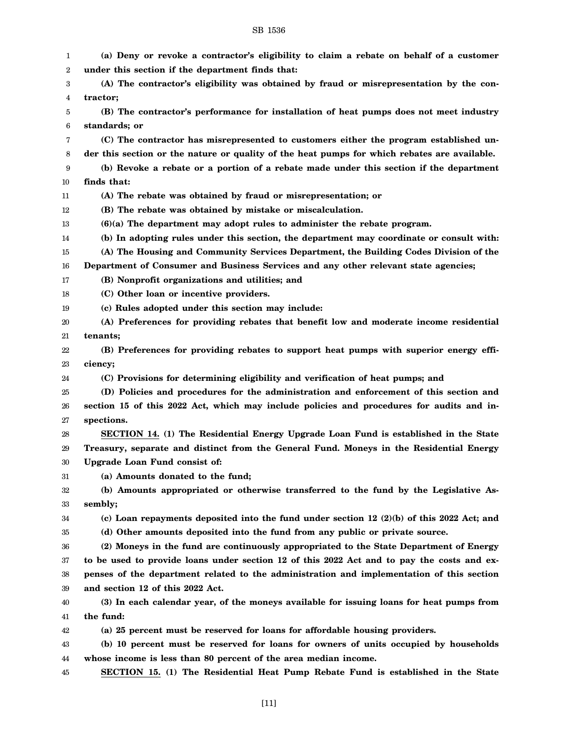| 1                | (a) Deny or revoke a contractor's eligibility to claim a rebate on behalf of a customer      |
|------------------|----------------------------------------------------------------------------------------------|
| $\boldsymbol{2}$ | under this section if the department finds that:                                             |
| 3                | (A) The contractor's eligibility was obtained by fraud or misrepresentation by the con-      |
| 4                | tractor;                                                                                     |
| 5                | (B) The contractor's performance for installation of heat pumps does not meet industry       |
| 6                | standards; or                                                                                |
| 7                | (C) The contractor has misrepresented to customers either the program established un-        |
| 8                | der this section or the nature or quality of the heat pumps for which rebates are available. |
| 9                | (b) Revoke a rebate or a portion of a rebate made under this section if the department       |
| 10               | finds that:                                                                                  |
| 11               | (A) The rebate was obtained by fraud or misrepresentation; or                                |
| 12               | (B) The rebate was obtained by mistake or miscalculation.                                    |
| 13               | $(6)(a)$ The department may adopt rules to administer the rebate program.                    |
| 14               | (b) In adopting rules under this section, the department may coordinate or consult with:     |
| 15               | (A) The Housing and Community Services Department, the Building Codes Division of the        |
| 16               | Department of Consumer and Business Services and any other relevant state agencies;          |
| 17               | (B) Nonprofit organizations and utilities; and                                               |
| 18               | (C) Other loan or incentive providers.                                                       |
| 19               | (c) Rules adopted under this section may include:                                            |
| 20               | (A) Preferences for providing rebates that benefit low and moderate income residential       |
| 21               | tenants;                                                                                     |
| 22               | (B) Preferences for providing rebates to support heat pumps with superior energy effi-       |
| 23               | ciency;                                                                                      |
| 24               | (C) Provisions for determining eligibility and verification of heat pumps; and               |
| 25               | (D) Policies and procedures for the administration and enforcement of this section and       |
| 26               | section 15 of this 2022 Act, which may include policies and procedures for audits and in-    |
| 27               | spections.                                                                                   |
| 28               | SECTION 14. (1) The Residential Energy Upgrade Loan Fund is established in the State         |
| 29               | Treasury, separate and distinct from the General Fund. Moneys in the Residential Energy      |
| 30               | Upgrade Loan Fund consist of:                                                                |
| 31               | (a) Amounts donated to the fund;                                                             |
| 32               | (b) Amounts appropriated or otherwise transferred to the fund by the Legislative As-         |
| 33               | sembly;                                                                                      |
| 34               | (c) Loan repayments deposited into the fund under section 12 $(2)(b)$ of this 2022 Act; and  |
| 35               | (d) Other amounts deposited into the fund from any public or private source.                 |
| 36               | (2) Moneys in the fund are continuously appropriated to the State Department of Energy       |
| 37               | to be used to provide loans under section 12 of this 2022 Act and to pay the costs and ex-   |
| 38               | penses of the department related to the administration and implementation of this section    |
| 39               | and section 12 of this 2022 Act.                                                             |
| 40               | (3) In each calendar year, of the moneys available for issuing loans for heat pumps from     |
| 41               | the fund:                                                                                    |
| 42               | (a) 25 percent must be reserved for loans for affordable housing providers.                  |
| 43               | (b) 10 percent must be reserved for loans for owners of units occupied by households         |
| 44               | whose income is less than 80 percent of the area median income.                              |
| 45               | SECTION 15. (1) The Residential Heat Pump Rebate Fund is established in the State            |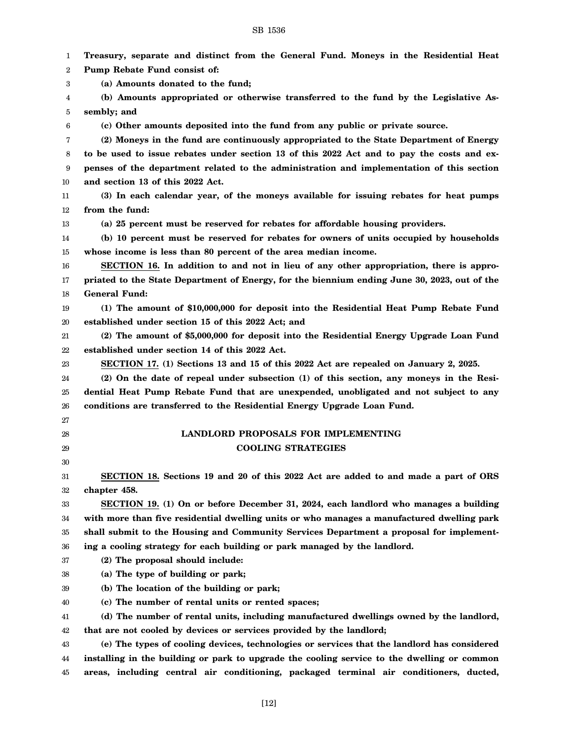| 1                | Treasury, separate and distinct from the General Fund. Moneys in the Residential Heat                                                                                                      |
|------------------|--------------------------------------------------------------------------------------------------------------------------------------------------------------------------------------------|
| $\boldsymbol{2}$ | Pump Rebate Fund consist of:                                                                                                                                                               |
| 3                | (a) Amounts donated to the fund;                                                                                                                                                           |
| 4                | (b) Amounts appropriated or otherwise transferred to the fund by the Legislative As-                                                                                                       |
| 5                | sembly; and                                                                                                                                                                                |
| 6                | (c) Other amounts deposited into the fund from any public or private source.                                                                                                               |
| 7                | (2) Moneys in the fund are continuously appropriated to the State Department of Energy                                                                                                     |
| 8                | to be used to issue rebates under section 13 of this 2022 Act and to pay the costs and ex-                                                                                                 |
| 9                | penses of the department related to the administration and implementation of this section                                                                                                  |
| 10               | and section 13 of this 2022 Act.                                                                                                                                                           |
| 11               | (3) In each calendar year, of the moneys available for issuing rebates for heat pumps                                                                                                      |
| 12               | from the fund:                                                                                                                                                                             |
| 13               | (a) 25 percent must be reserved for rebates for affordable housing providers.                                                                                                              |
| 14               | (b) 10 percent must be reserved for rebates for owners of units occupied by households                                                                                                     |
| 15               | whose income is less than 80 percent of the area median income.                                                                                                                            |
| 16               | SECTION 16. In addition to and not in lieu of any other appropriation, there is appro-                                                                                                     |
| 17               | priated to the State Department of Energy, for the biennium ending June 30, 2023, out of the                                                                                               |
| 18               | <b>General Fund:</b>                                                                                                                                                                       |
| 19               | (1) The amount of \$10,000,000 for deposit into the Residential Heat Pump Rebate Fund                                                                                                      |
| 20               | established under section 15 of this 2022 Act; and                                                                                                                                         |
| 21               | (2) The amount of \$5,000,000 for deposit into the Residential Energy Upgrade Loan Fund                                                                                                    |
| 22               | established under section 14 of this 2022 Act.                                                                                                                                             |
| 23               | SECTION 17. (1) Sections 13 and 15 of this 2022 Act are repealed on January 2, 2025.                                                                                                       |
| 24               | (2) On the date of repeal under subsection (1) of this section, any moneys in the Resi-                                                                                                    |
| 25               | dential Heat Pump Rebate Fund that are unexpended, unobligated and not subject to any                                                                                                      |
| 26               | conditions are transferred to the Residential Energy Upgrade Loan Fund.                                                                                                                    |
| 27               |                                                                                                                                                                                            |
| 28               | LANDLORD PROPOSALS FOR IMPLEMENTING                                                                                                                                                        |
| 29               | <b>COOLING STRATEGIES</b>                                                                                                                                                                  |
| 30               |                                                                                                                                                                                            |
| 31               | SECTION 18. Sections 19 and 20 of this 2022 Act are added to and made a part of ORS                                                                                                        |
| 32               | chapter 458.                                                                                                                                                                               |
| 33               | SECTION 19. (1) On or before December 31, 2024, each landlord who manages a building                                                                                                       |
| 34               | with more than five residential dwelling units or who manages a manufactured dwelling park                                                                                                 |
| 35               | shall submit to the Housing and Community Services Department a proposal for implement-                                                                                                    |
| 36               | ing a cooling strategy for each building or park managed by the landlord.                                                                                                                  |
| 37               | (2) The proposal should include:                                                                                                                                                           |
| 38               | (a) The type of building or park;                                                                                                                                                          |
| 39               | (b) The location of the building or park;                                                                                                                                                  |
| 40               | (c) The number of rental units or rented spaces;                                                                                                                                           |
| 41               | (d) The number of rental units, including manufactured dwellings owned by the landlord,                                                                                                    |
| 42               | that are not cooled by devices or services provided by the landlord;                                                                                                                       |
| 43               | (e) The types of cooling devices, technologies or services that the landlord has considered<br>installing in the building or park to upgrade the cooling service to the dwelling or common |
| 44               | areas, including central air conditioning, packaged terminal air conditioners, ducted,                                                                                                     |
| 45               |                                                                                                                                                                                            |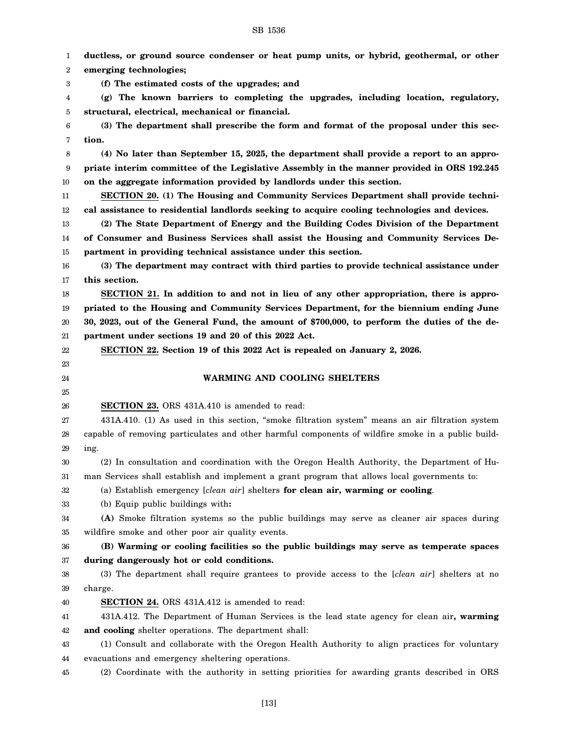1 2 3 4 5 6 7 8 9 10 11 12 13 14 15 16 17 18 19 20 21 22 23 24 25 26 27 28 29 30 31 32 33 34 35 36 37 38 39 40 41 42 43 44 45 **ductless, or ground source condenser or heat pump units, or hybrid, geothermal, or other emerging technologies; (f) The estimated costs of the upgrades; and (g) The known barriers to completing the upgrades, including location, regulatory, structural, electrical, mechanical or financial. (3) The department shall prescribe the form and format of the proposal under this section. (4) No later than September 15, 2025, the department shall provide a report to an appropriate interim committee of the Legislative Assembly in the manner provided in ORS 192.245 on the aggregate information provided by landlords under this section. SECTION 20. (1) The Housing and Community Services Department shall provide technical assistance to residential landlords seeking to acquire cooling technologies and devices. (2) The State Department of Energy and the Building Codes Division of the Department of Consumer and Business Services shall assist the Housing and Community Services Department in providing technical assistance under this section. (3) The department may contract with third parties to provide technical assistance under this section. SECTION 21. In addition to and not in lieu of any other appropriation, there is appropriated to the Housing and Community Services Department, for the biennium ending June 30, 2023, out of the General Fund, the amount of \$700,000, to perform the duties of the department under sections 19 and 20 of this 2022 Act. SECTION 22. Section 19 of this 2022 Act is repealed on January 2, 2026. WARMING AND COOLING SHELTERS SECTION 23.** ORS 431A.410 is amended to read: 431A.410. (1) As used in this section, "smoke filtration system" means an air filtration system capable of removing particulates and other harmful components of wildfire smoke in a public building. (2) In consultation and coordination with the Oregon Health Authority, the Department of Human Services shall establish and implement a grant program that allows local governments to: (a) Establish emergency [*clean air*] shelters **for clean air, warming or cooling**. (b) Equip public buildings with**: (A)** Smoke filtration systems so the public buildings may serve as cleaner air spaces during wildfire smoke and other poor air quality events. **(B) Warming or cooling facilities so the public buildings may serve as temperate spaces during dangerously hot or cold conditions.** (3) The department shall require grantees to provide access to the [*clean air*] shelters at no charge. **SECTION 24.** ORS 431A.412 is amended to read: 431A.412. The Department of Human Services is the lead state agency for clean air**, warming and cooling** shelter operations. The department shall: (1) Consult and collaborate with the Oregon Health Authority to align practices for voluntary evacuations and emergency sheltering operations. (2) Coordinate with the authority in setting priorities for awarding grants described in ORS